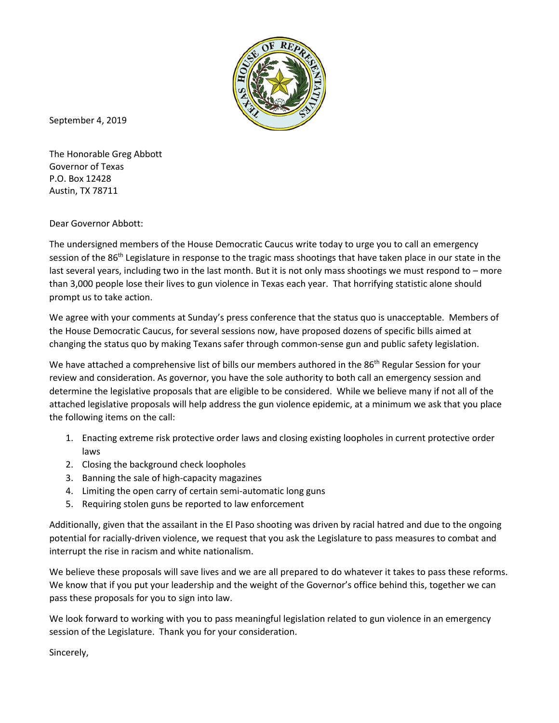

September 4, 2019

The Honorable Greg Abbott Governor of Texas P.O. Box 12428 Austin, TX 78711

Dear Governor Abbott:

The undersigned members of the House Democratic Caucus write today to urge you to call an emergency session of the 86<sup>th</sup> Legislature in response to the tragic mass shootings that have taken place in our state in the last several years, including two in the last month. But it is not only mass shootings we must respond to – more than 3,000 people lose their lives to gun violence in Texas each year. That horrifying statistic alone should prompt us to take action.

We agree with your comments at Sunday's press conference that the status quo is unacceptable. Members of the House Democratic Caucus, for several sessions now, have proposed dozens of specific bills aimed at changing the status quo by making Texans safer through common-sense gun and public safety legislation.

We have attached a comprehensive list of bills our members authored in the 86<sup>th</sup> Regular Session for your review and consideration. As governor, you have the sole authority to both call an emergency session and determine the legislative proposals that are eligible to be considered. While we believe many if not all of the attached legislative proposals will help address the gun violence epidemic, at a minimum we ask that you place the following items on the call:

- 1. Enacting extreme risk protective order laws and closing existing loopholes in current protective order laws
- 2. Closing the background check loopholes
- 3. Banning the sale of high-capacity magazines
- 4. Limiting the open carry of certain semi-automatic long guns
- 5. Requiring stolen guns be reported to law enforcement

Additionally, given that the assailant in the El Paso shooting was driven by racial hatred and due to the ongoing potential for racially-driven violence, we request that you ask the Legislature to pass measures to combat and interrupt the rise in racism and white nationalism.

We believe these proposals will save lives and we are all prepared to do whatever it takes to pass these reforms. We know that if you put your leadership and the weight of the Governor's office behind this, together we can pass these proposals for you to sign into law.

We look forward to working with you to pass meaningful legislation related to gun violence in an emergency session of the Legislature. Thank you for your consideration.

Sincerely,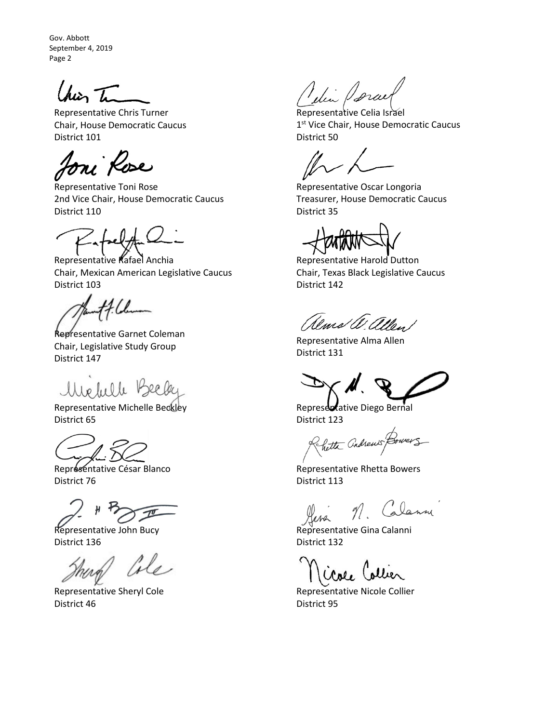Chier Tu

Representative Chris Turner Chair, House Democratic Caucus District 101

Ioni Rose

Representative Toni Rose 2nd Vice Chair, House Democratic Caucus District 110

Representative Rafael Anchia Chair, Mexican American Legislative Caucus District 103

4 I.L

Representative Garnet Coleman Chair, Legislative Study Group District 147

Usefulle V

Representative Michelle Beckley District 65

Représentative César Blanco District 76

Representative John Bucy District 136

ale

Representative Sheryl Cole District 46

Idin Porce

Representative Celia Israel 1<sup>st</sup> Vice Chair, House Democratic Caucus District 50

Representative Oscar Longoria Treasurer, House Democratic Caucus District 35

Representative Harold Dutton Chair, Texas Black Legislative Caucus District 142

alms W. allen

Representative Alma Allen District 131

Representative Diego Bernal District 123

Rhetta andrews Bower

Representative Rhetta Bowers District 113

M. Calanne

Representative Gina Calanni District 132

Close Collier

Representative Nicole Collier District 95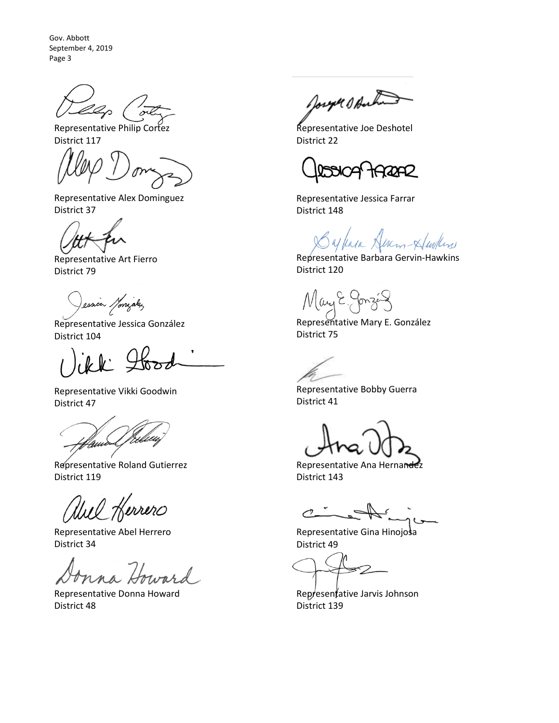Representative Philip Cortez District 117

Representative Alex Dominguez District 37

Representative Art Fierro District 79

ession Monigalez

Representative Jessica González District 104

Representative Vikki Goodwin District 47

quid

Representative Roland Gutierrez District 119

Wel Herrero

Representative Abel Herrero District 34

Representative Donna Howard District 48

Joseph Ofaction

Representative Joe Deshotel District 22

ROAD

Representative Jessica Farrar District 148

ylan Herm Hurlin

Representative Barbara Gervin-Hawkins District 120

May E.

Representative Mary E. González District 75

Representative Bobby Guerra District 41

Representative Ana Hernandez District 143

 $\mathcal{C}$ 

Representative Gina Hinojosa District 49

Representative Jarvis Johnson District 139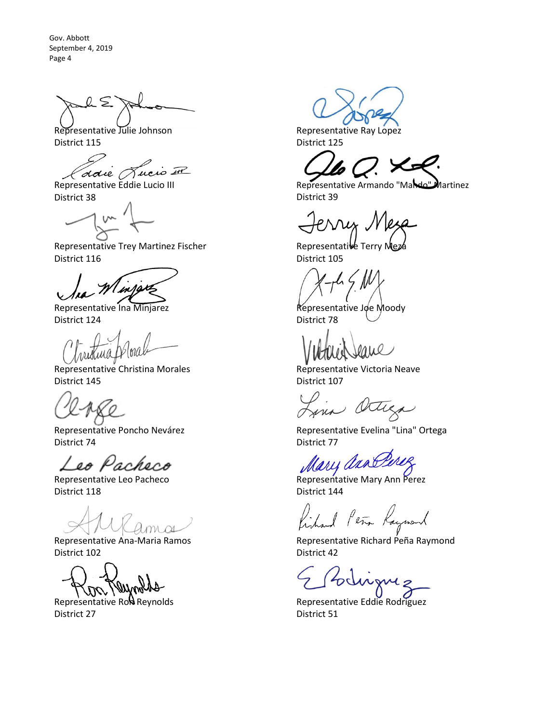$\sum$ 

Representative Julie Johnson District 115

*Coloie Aucio III*<br>Representative Eddie Lucio III

District 38

Representative Trey Martinez Fischer District 116

Representative Ina Minjarez District 124

Representative Christina Morales District 145

Representative Poncho Nevárez District 74

Leo Pacheco

Representative Leo Pacheco District 118

Representative Ana-Maria Ramos District 102

Representative Row Reynolds District 27

Representative Ray Lopez District 125

Representative Armando "Mando" Martinez District 39

 $\n \ \, \mathcal{N}$ 

Representative Terry Meza District 105

Representative Joe Moody District 78

Representative Victoria Neave District 107

Lin Octega

Representative Evelina "Lina" Ortega District 77

Cary arno

Representative Mary Ann Perez District 144

fished Peter Raymond

Representative Richard Peña Raymond District 42

Representative Eddie Rodriguez District 51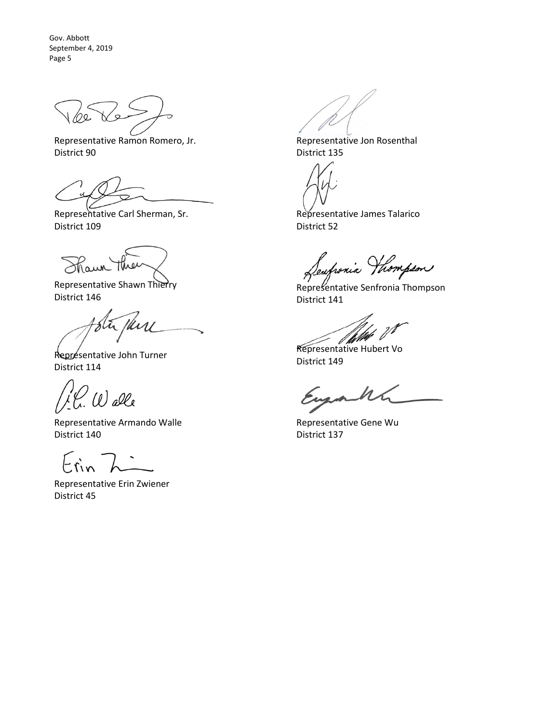Representative Ramon Romero, Jr. District 90

Representative Carl Sherman, Sr. District 109

Maun

Representative Shawn Thierry District 146

Représentative John Turner District 114

Walle

Representative Armando Walle District 140

Erin

Representative Erin Zwiener District 45

Representative Jon Rosenthal District 135

Representative James Talarico District 52

Seufrania Hhompson

Representative Senfronia Thompson District 141

Representative Hubert Vo

District 149

acht

Representative Gene Wu District 137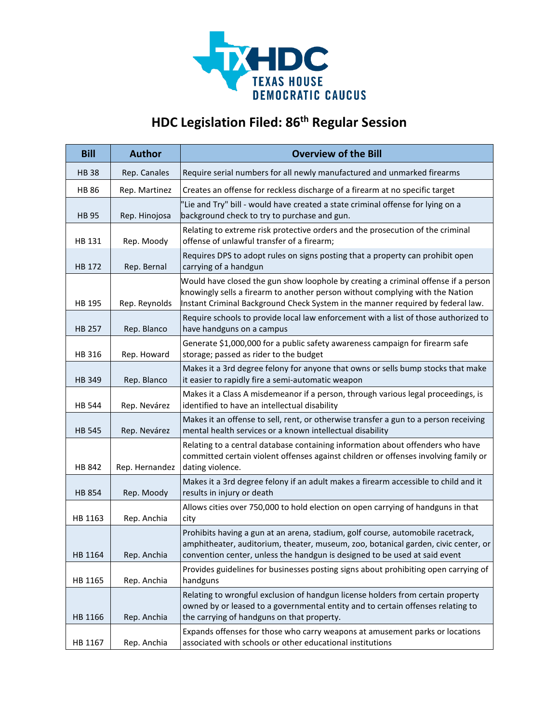

## **HDC Legislation Filed: 86th Regular Session**

| <b>Bill</b>   | <b>Author</b>  | <b>Overview of the Bill</b>                                                                                                                                                                                                                            |
|---------------|----------------|--------------------------------------------------------------------------------------------------------------------------------------------------------------------------------------------------------------------------------------------------------|
| <b>HB38</b>   | Rep. Canales   | Require serial numbers for all newly manufactured and unmarked firearms                                                                                                                                                                                |
| <b>HB 86</b>  | Rep. Martinez  | Creates an offense for reckless discharge of a firearm at no specific target                                                                                                                                                                           |
| <b>HB 95</b>  | Rep. Hinojosa  | 'Lie and Try" bill - would have created a state criminal offense for lying on a<br>background check to try to purchase and gun.                                                                                                                        |
| HB 131        | Rep. Moody     | Relating to extreme risk protective orders and the prosecution of the criminal<br>offense of unlawful transfer of a firearm;                                                                                                                           |
| HB 172        | Rep. Bernal    | Requires DPS to adopt rules on signs posting that a property can prohibit open<br>carrying of a handgun                                                                                                                                                |
| HB 195        | Rep. Reynolds  | Would have closed the gun show loophole by creating a criminal offense if a person<br>knowingly sells a firearm to another person without complying with the Nation<br>Instant Criminal Background Check System in the manner required by federal law. |
| HB 257        | Rep. Blanco    | Require schools to provide local law enforcement with a list of those authorized to<br>have handguns on a campus                                                                                                                                       |
| HB 316        | Rep. Howard    | Generate \$1,000,000 for a public safety awareness campaign for firearm safe<br>storage; passed as rider to the budget                                                                                                                                 |
| HB 349        | Rep. Blanco    | Makes it a 3rd degree felony for anyone that owns or sells bump stocks that make<br>it easier to rapidly fire a semi-automatic weapon                                                                                                                  |
| <b>HB 544</b> | Rep. Nevárez   | Makes it a Class A misdemeanor if a person, through various legal proceedings, is<br>identified to have an intellectual disability                                                                                                                     |
| <b>HB 545</b> | Rep. Nevárez   | Makes it an offense to sell, rent, or otherwise transfer a gun to a person receiving<br>mental health services or a known intellectual disability                                                                                                      |
| HB 842        | Rep. Hernandez | Relating to a central database containing information about offenders who have<br>committed certain violent offenses against children or offenses involving family or<br>dating violence.                                                              |
| <b>HB 854</b> | Rep. Moody     | Makes it a 3rd degree felony if an adult makes a firearm accessible to child and it<br>results in injury or death                                                                                                                                      |
| HB 1163       | Rep. Anchia    | Allows cities over 750,000 to hold election on open carrying of handguns in that<br>city                                                                                                                                                               |
| HB 1164       | Rep. Anchia    | Prohibits having a gun at an arena, stadium, golf course, automobile racetrack,<br>amphitheater, auditorium, theater, museum, zoo, botanical garden, civic center, or<br>convention center, unless the handgun is designed to be used at said event    |
| HB 1165       | Rep. Anchia    | Provides guidelines for businesses posting signs about prohibiting open carrying of<br>handguns                                                                                                                                                        |
| HB 1166       | Rep. Anchia    | Relating to wrongful exclusion of handgun license holders from certain property<br>owned by or leased to a governmental entity and to certain offenses relating to<br>the carrying of handguns on that property.                                       |
| HB 1167       | Rep. Anchia    | Expands offenses for those who carry weapons at amusement parks or locations<br>associated with schools or other educational institutions                                                                                                              |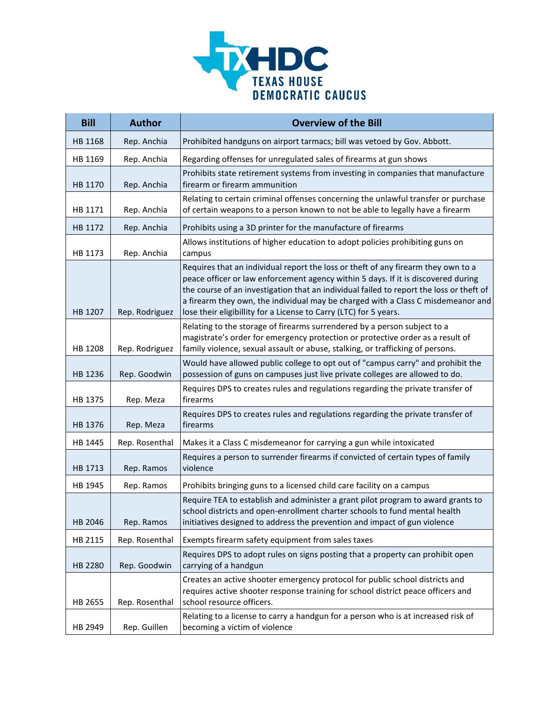

| <b>Bill</b> | <b>Author</b>  | <b>Overview of the Bill</b>                                                                                                                                                                                                                                                                                                                                                                                                |
|-------------|----------------|----------------------------------------------------------------------------------------------------------------------------------------------------------------------------------------------------------------------------------------------------------------------------------------------------------------------------------------------------------------------------------------------------------------------------|
| HB 1168     | Rep. Anchia    | Prohibited handguns on airport tarmacs; bill was vetoed by Gov. Abbott.                                                                                                                                                                                                                                                                                                                                                    |
| HB 1169     | Rep. Anchia    | Regarding offenses for unregulated sales of firearms at gun shows                                                                                                                                                                                                                                                                                                                                                          |
| HB 1170     | Rep. Anchia    | Prohibits state retirement systems from investing in companies that manufacture<br>firearm or firearm ammunition                                                                                                                                                                                                                                                                                                           |
| HB 1171     | Rep. Anchia    | Relating to certain criminal offenses concerning the unlawful transfer or purchase<br>of certain weapons to a person known to not be able to legally have a firearm                                                                                                                                                                                                                                                        |
| HB 1172     | Rep. Anchia    | Prohibits using a 3D printer for the manufacture of firearms                                                                                                                                                                                                                                                                                                                                                               |
| HB 1173     | Rep. Anchia    | Allows institutions of higher education to adopt policies prohibiting guns on<br>campus                                                                                                                                                                                                                                                                                                                                    |
| HB 1207     | Rep. Rodriguez | Requires that an individual report the loss or theft of any firearm they own to a<br>peace officer or law enforcement agency within 5 days. If it is discovered during<br>the course of an investigation that an individual failed to report the loss or theft of<br>a firearm they own, the individual may be charged with a Class C misdemeanor and<br>lose their eligibillity for a License to Carry (LTC) for 5 years. |
| HB 1208     | Rep. Rodriguez | Relating to the storage of firearms surrendered by a person subject to a<br>magistrate's order for emergency protection or protective order as a result of<br>family violence, sexual assault or abuse, stalking, or trafficking of persons.                                                                                                                                                                               |
| HB 1236     | Rep. Goodwin   | Would have allowed public college to opt out of "campus carry" and prohibit the<br>possession of guns on campuses just live private colleges are allowed to do.                                                                                                                                                                                                                                                            |
| HB 1375     | Rep. Meza      | Requires DPS to creates rules and regulations regarding the private transfer of<br>firearms                                                                                                                                                                                                                                                                                                                                |
| HB 1376     | Rep. Meza      | Requires DPS to creates rules and regulations regarding the private transfer of<br>firearms                                                                                                                                                                                                                                                                                                                                |
| HB 1445     | Rep. Rosenthal | Makes it a Class C misdemeanor for carrying a gun while intoxicated                                                                                                                                                                                                                                                                                                                                                        |
| HB 1713     | Rep. Ramos     | Requires a person to surrender firearms if convicted of certain types of family<br>violence                                                                                                                                                                                                                                                                                                                                |
| HB 1945     | Rep. Ramos     | Prohibits bringing guns to a licensed child care facility on a campus                                                                                                                                                                                                                                                                                                                                                      |
| HB 2046     | Rep. Ramos     | Require TEA to establish and administer a grant pilot program to award grants to<br>school districts and open-enrollment charter schools to fund mental health<br>initiatives designed to address the prevention and impact of gun violence                                                                                                                                                                                |
| HB 2115     | Rep. Rosenthal | Exempts firearm safety equipment from sales taxes                                                                                                                                                                                                                                                                                                                                                                          |
| HB 2280     | Rep. Goodwin   | Requires DPS to adopt rules on signs posting that a property can prohibit open<br>carrying of a handgun                                                                                                                                                                                                                                                                                                                    |
| HB 2655     | Rep. Rosenthal | Creates an active shooter emergency protocol for public school districts and<br>requires active shooter response training for school district peace officers and<br>school resource officers.                                                                                                                                                                                                                              |
| HB 2949     | Rep. Guillen   | Relating to a license to carry a handgun for a person who is at increased risk of<br>becoming a victim of violence                                                                                                                                                                                                                                                                                                         |